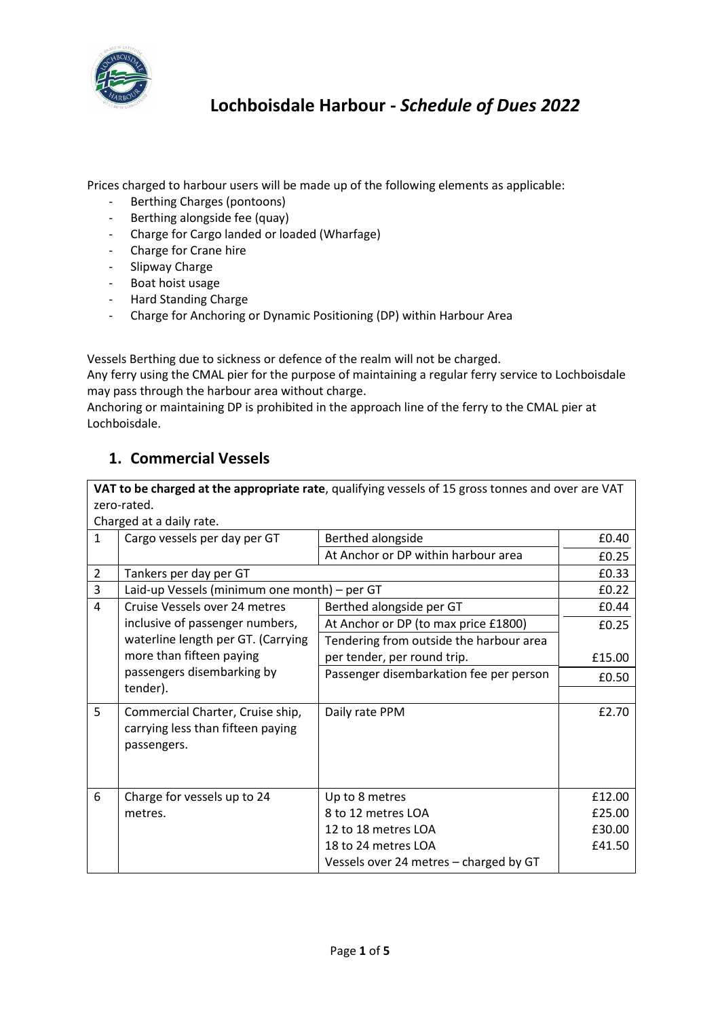

# **Lochboisdale Harbour -** *Schedule of Dues 2022*

Prices charged to harbour users will be made up of the following elements as applicable:

- Berthing Charges (pontoons)
- Berthing alongside fee (quay)
- Charge for Cargo landed or loaded (Wharfage)
- Charge for Crane hire
- Slipway Charge
- Boat hoist usage
- Hard Standing Charge
- Charge for Anchoring or Dynamic Positioning (DP) within Harbour Area

Vessels Berthing due to sickness or defence of the realm will not be charged.

Any ferry using the CMAL pier for the purpose of maintaining a regular ferry service to Lochboisdale may pass through the harbour area without charge.

Anchoring or maintaining DP is prohibited in the approach line of the ferry to the CMAL pier at Lochboisdale.

#### **1. Commercial Vessels**

**VAT to be charged at the appropriate rate**, qualifying vessels of 15 gross tonnes and over are VAT zero-rated.

|                | Charged at a daily rate.                                                             |                                         |        |
|----------------|--------------------------------------------------------------------------------------|-----------------------------------------|--------|
| 1              | Cargo vessels per day per GT                                                         | Berthed alongside                       | £0.40  |
|                |                                                                                      | At Anchor or DP within harbour area     | £0.25  |
| $\overline{2}$ | Tankers per day per GT                                                               |                                         | £0.33  |
| 3              | Laid-up Vessels (minimum one month) – per GT                                         |                                         | £0.22  |
| 4              | Cruise Vessels over 24 metres                                                        | Berthed alongside per GT                | £0.44  |
|                | inclusive of passenger numbers,                                                      | At Anchor or DP (to max price £1800)    | £0.25  |
|                | waterline length per GT. (Carrying                                                   | Tendering from outside the harbour area |        |
|                | more than fifteen paying                                                             | per tender, per round trip.             | £15.00 |
|                | passengers disembarking by                                                           | Passenger disembarkation fee per person | £0.50  |
|                | tender).                                                                             |                                         |        |
| 5              | Commercial Charter, Cruise ship,<br>carrying less than fifteen paying<br>passengers. | Daily rate PPM                          | £2.70  |
| 6              | Charge for vessels up to 24                                                          | Up to 8 metres                          | £12.00 |
|                | metres.                                                                              | 8 to 12 metres LOA                      | £25.00 |
|                |                                                                                      | 12 to 18 metres LOA                     | £30.00 |
|                |                                                                                      | 18 to 24 metres LOA                     | £41.50 |
|                |                                                                                      | Vessels over 24 metres - charged by GT  |        |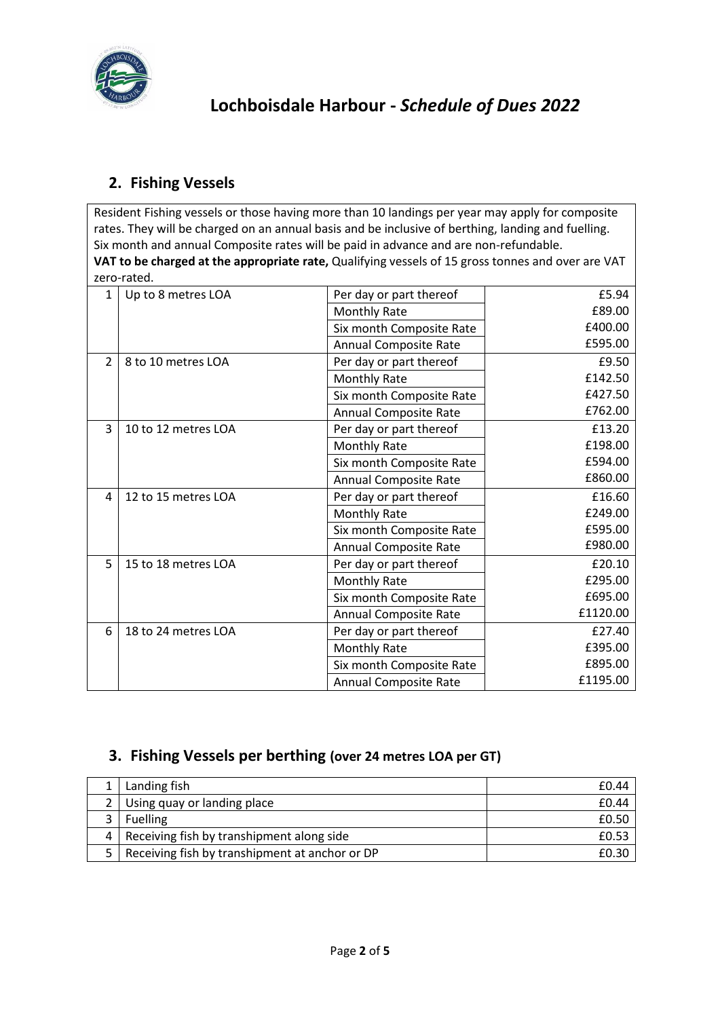

## **2. Fishing Vessels**

Resident Fishing vessels or those having more than 10 landings per year may apply for composite rates. They will be charged on an annual basis and be inclusive of berthing, landing and fuelling. Six month and annual Composite rates will be paid in advance and are non-refundable. **VAT to be charged at the appropriate rate,** Qualifying vessels of 15 gross tonnes and over are VAT zero-rated.

| 1              | Up to 8 metres LOA  | Per day or part thereof      | £5.94    |
|----------------|---------------------|------------------------------|----------|
|                |                     | Monthly Rate                 | £89.00   |
|                |                     | Six month Composite Rate     | £400.00  |
|                |                     | <b>Annual Composite Rate</b> | £595.00  |
| $\overline{2}$ | 8 to 10 metres LOA  | Per day or part thereof      | £9.50    |
|                |                     | <b>Monthly Rate</b>          | £142.50  |
|                |                     | Six month Composite Rate     | £427.50  |
|                |                     | <b>Annual Composite Rate</b> | £762.00  |
| 3              | 10 to 12 metres LOA | Per day or part thereof      | £13.20   |
|                |                     | <b>Monthly Rate</b>          | £198.00  |
|                |                     | Six month Composite Rate     | £594.00  |
|                |                     | Annual Composite Rate        | £860.00  |
| 4              | 12 to 15 metres LOA | Per day or part thereof      | £16.60   |
|                |                     | <b>Monthly Rate</b>          | £249.00  |
|                |                     | Six month Composite Rate     | £595.00  |
|                |                     | Annual Composite Rate        | £980.00  |
| 5              | 15 to 18 metres LOA | Per day or part thereof      | £20.10   |
|                |                     | <b>Monthly Rate</b>          | £295.00  |
|                |                     | Six month Composite Rate     | £695.00  |
|                |                     | <b>Annual Composite Rate</b> | £1120.00 |
| 6              | 18 to 24 metres LOA | Per day or part thereof      | £27.40   |
|                |                     | Monthly Rate                 | £395.00  |
|                |                     | Six month Composite Rate     | £895.00  |
|                |                     | <b>Annual Composite Rate</b> | £1195.00 |

### **3. Fishing Vessels per berthing (over 24 metres LOA per GT)**

| Landing fish                                   | £0.44 |
|------------------------------------------------|-------|
| 2   Using quay or landing place                | £0.44 |
| <b>Fuelling</b>                                | £0.50 |
| 4   Receiving fish by transhipment along side  | £0.53 |
| Receiving fish by transhipment at anchor or DP |       |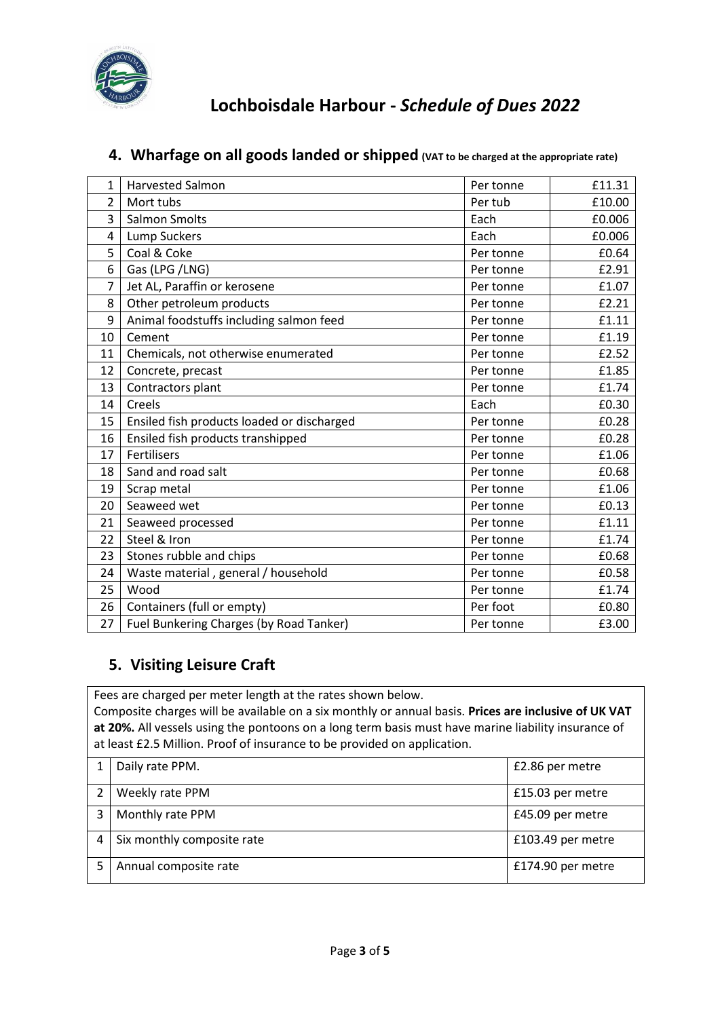

| 1              | <b>Harvested Salmon</b>                    | Per tonne | £11.31 |
|----------------|--------------------------------------------|-----------|--------|
| $\overline{2}$ | Mort tubs                                  | Per tub   | £10.00 |
| 3              | <b>Salmon Smolts</b>                       | Each      | £0.006 |
| 4              | <b>Lump Suckers</b>                        | Each      | £0.006 |
| 5              | Coal & Coke                                | Per tonne | £0.64  |
| 6              | Gas (LPG /LNG)                             | Per tonne | £2.91  |
| $\overline{7}$ | Jet AL, Paraffin or kerosene               | Per tonne | £1.07  |
| 8              | Other petroleum products                   | Per tonne | £2.21  |
| 9              | Animal foodstuffs including salmon feed    | Per tonne | £1.11  |
| 10             | Cement                                     | Per tonne | £1.19  |
| 11             | Chemicals, not otherwise enumerated        | Per tonne | £2.52  |
| 12             | Concrete, precast                          | Per tonne | £1.85  |
| 13             | Contractors plant                          | Per tonne | £1.74  |
| 14             | Creels                                     | Each      | £0.30  |
| 15             | Ensiled fish products loaded or discharged | Per tonne | £0.28  |
| 16             | Ensiled fish products transhipped          | Per tonne | £0.28  |
| 17             | <b>Fertilisers</b>                         | Per tonne | £1.06  |
| 18             | Sand and road salt                         | Per tonne | £0.68  |
| 19             | Scrap metal                                | Per tonne | £1.06  |
| 20             | Seaweed wet                                | Per tonne | £0.13  |
| 21             | Seaweed processed                          | Per tonne | £1.11  |
| 22             | Steel & Iron                               | Per tonne | £1.74  |
| 23             | Stones rubble and chips                    | Per tonne | £0.68  |
| 24             | Waste material, general / household        | Per tonne | £0.58  |
| 25             | Wood                                       | Per tonne | £1.74  |
| 26             | Containers (full or empty)                 | Per foot  | £0.80  |
| 27             | Fuel Bunkering Charges (by Road Tanker)    | Per tonne | £3.00  |

### **4. Wharfage on all goods landed or shipped (VAT to be charged at the appropriate rate)**

### **5. Visiting Leisure Craft**

Fees are charged per meter length at the rates shown below. Composite charges will be available on a six monthly or annual basis. **Prices are inclusive of UK VAT at 20%.** All vessels using the pontoons on a long term basis must have marine liability insurance of at least £2.5 Million. Proof of insurance to be provided on application.

| Daily rate PPM.            | £2.86 per metre   |
|----------------------------|-------------------|
| Weekly rate PPM            | £15.03 per metre  |
| Monthly rate PPM           | £45.09 per metre  |
| Six monthly composite rate | £103.49 per metre |
| Annual composite rate      | £174.90 per metre |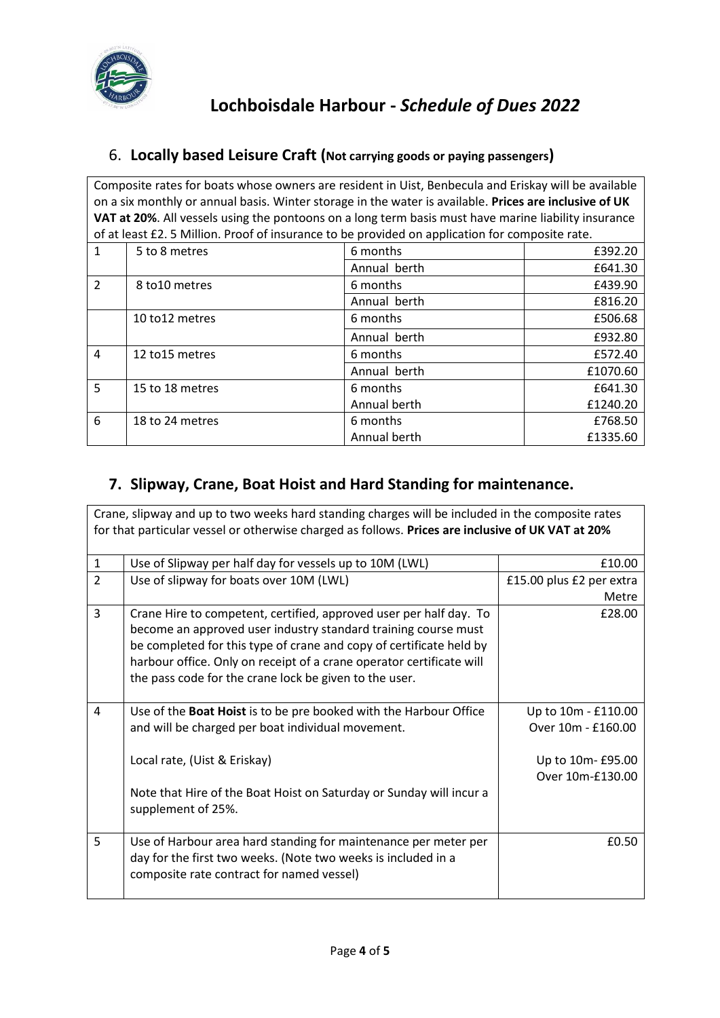

#### 6. **Locally based Leisure Craft (Not carrying goods or paying passengers)**

Composite rates for boats whose owners are resident in Uist, Benbecula and Eriskay will be available on a six monthly or annual basis. Winter storage in the water is available. **Prices are inclusive of UK VAT at 20%**. All vessels using the pontoons on a long term basis must have marine liability insurance of at least £2. 5 Million. Proof of insurance to be provided on application for composite rate.

| $\mathbf{1}$   | 5 to 8 metres   | 6 months     | £392.20  |
|----------------|-----------------|--------------|----------|
|                |                 | Annual berth | £641.30  |
| $\overline{2}$ | 8 to 10 metres  | 6 months     | £439.90  |
|                |                 | Annual berth | £816.20  |
|                | 10 to 12 metres | 6 months     | £506.68  |
|                |                 | Annual berth | £932.80  |
| $\overline{4}$ | 12 to 15 metres | 6 months     | £572.40  |
|                |                 | Annual berth | £1070.60 |
| 5              | 15 to 18 metres | 6 months     | £641.30  |
|                |                 | Annual berth | £1240.20 |
| 6              | 18 to 24 metres | 6 months     | £768.50  |
|                |                 | Annual berth | £1335.60 |

### **7. Slipway, Crane, Boat Hoist and Hard Standing for maintenance.**

|                | Crane, slipway and up to two weeks hard standing charges will be included in the composite rates<br>for that particular vessel or otherwise charged as follows. Prices are inclusive of UK VAT at 20%                                                                                                                                         |                                                                                    |
|----------------|-----------------------------------------------------------------------------------------------------------------------------------------------------------------------------------------------------------------------------------------------------------------------------------------------------------------------------------------------|------------------------------------------------------------------------------------|
| $\mathbf{1}$   | Use of Slipway per half day for vessels up to 10M (LWL)                                                                                                                                                                                                                                                                                       | £10.00                                                                             |
| $\overline{2}$ | Use of slipway for boats over 10M (LWL)                                                                                                                                                                                                                                                                                                       | £15.00 plus £2 per extra<br>Metre                                                  |
| $\overline{3}$ | Crane Hire to competent, certified, approved user per half day. To<br>become an approved user industry standard training course must<br>be completed for this type of crane and copy of certificate held by<br>harbour office. Only on receipt of a crane operator certificate will<br>the pass code for the crane lock be given to the user. | £28.00                                                                             |
| 4              | Use of the Boat Hoist is to be pre booked with the Harbour Office<br>and will be charged per boat individual movement.<br>Local rate, (Uist & Eriskay)<br>Note that Hire of the Boat Hoist on Saturday or Sunday will incur a<br>supplement of 25%.                                                                                           | Up to 10m - £110.00<br>Over 10m - £160.00<br>Up to 10m- £95.00<br>Over 10m-£130.00 |
| 5              | Use of Harbour area hard standing for maintenance per meter per<br>day for the first two weeks. (Note two weeks is included in a<br>composite rate contract for named vessel)                                                                                                                                                                 | £0.50                                                                              |